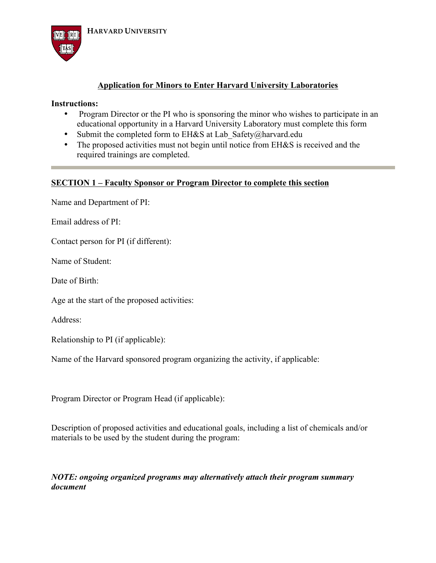

## **Application for Minors to Enter Harvard University Laboratories**

## **Instructions:**

- Program Director or the PI who is sponsoring the minor who wishes to participate in an educational opportunity in a Harvard University Laboratory must complete this form
- Submit the completed form to EH&S at Lab Safety@harvard.edu
- The proposed activities must not begin until notice from EH&S is received and the required trainings are completed.

## **SECTION 1 – Faculty Sponsor or Program Director to complete this section**

Name and Department of PI:

Email address of PI:

Contact person for PI (if different):

Name of Student:

Date of Birth:

Age at the start of the proposed activities:

Address:

Relationship to PI (if applicable):

Name of the Harvard sponsored program organizing the activity, if applicable:

Program Director or Program Head (if applicable):

Description of proposed activities and educational goals, including a list of chemicals and/or materials to be used by the student during the program:

## *NOTE: ongoing organized programs may alternatively attach their program summary document*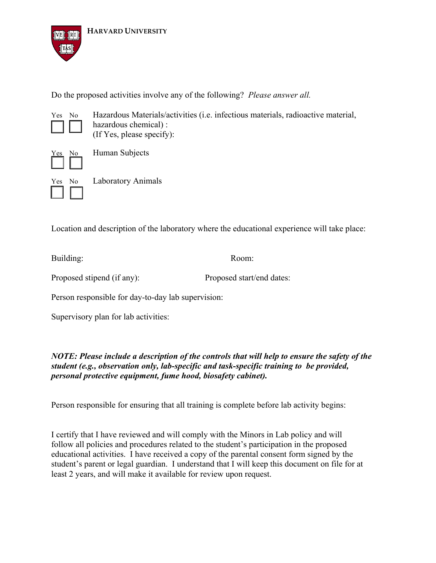

**HARVARD UNIVERSITY** 

Do the proposed activities involve any of the following? *Please answer all.*



Yes No Hazardous Materials/activities (i.e. infectious materials, radioactive material, hazardous chemical) : (If Yes, please specify):



No Human Subjects

Yes No Laboratory Animals

Location and description of the laboratory where the educational experience will take place:

Building: Room:

Proposed stipend (if any): Proposed start/end dates:

Person responsible for day-to-day lab supervision:

Supervisory plan for lab activities:

*NOTE: Please include a description of the controls that will help to ensure the safety of the student (e.g., observation only, lab-specific and task-specific training to be provided, personal protective equipment, fume hood, biosafety cabinet).*

Person responsible for ensuring that all training is complete before lab activity begins:

I certify that I have reviewed and will comply with the Minors in Lab policy and will follow all policies and procedures related to the student's participation in the proposed educational activities. I have received a copy of the parental consent form signed by the student's parent or legal guardian. I understand that I will keep this document on file for at least 2 years, and will make it available for review upon request.